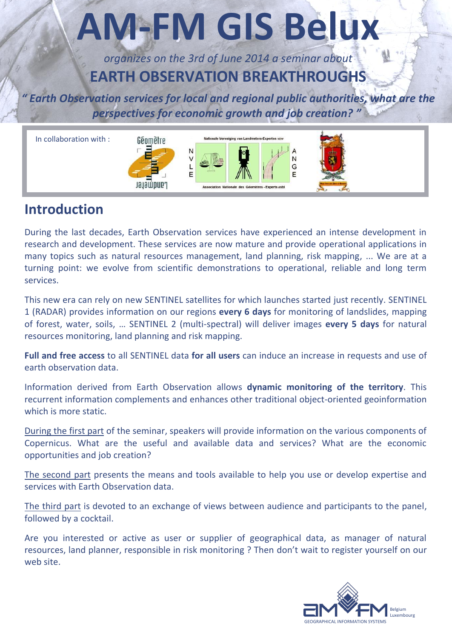# **AM-FM GIS Belux**

*organizes on the 3rd of June 2014 a seminar about* **EARTH OBSERVATION BREAKTHROUGHS**

*" Earth Observation services for local and regional public authorities, what are the perspectives for economic growth and job creation? "*



### **Introduction**

During the last decades, Earth Observation services have experienced an intense development in research and development. These services are now mature and provide operational applications in many topics such as natural resources management, land planning, risk mapping, ... We are at a turning point: we evolve from scientific demonstrations to operational, reliable and long term services.

This new era can rely on new SENTINEL satellites for which launches started just recently. SENTINEL 1 (RADAR) provides information on our regions **every 6 days** for monitoring of landslides, mapping of forest, water, soils, … SENTINEL 2 (multi-spectral) will deliver images **every 5 days** for natural resources monitoring, land planning and risk mapping.

**Full and free access** to all SENTINEL data **for all users** can induce an increase in requests and use of earth observation data.

Information derived from Earth Observation allows **dynamic monitoring of the territory**. This recurrent information complements and enhances other traditional object-oriented geoinformation which is more static.

During the first part of the seminar, speakers will provide information on the various components of Copernicus. What are the useful and available data and services? What are the economic opportunities and job creation?

The second part presents the means and tools available to help you use or develop expertise and services with Earth Observation data.

The third part is devoted to an exchange of views between audience and participants to the panel, followed by a cocktail.

Are you interested or active as user or supplier of geographical data, as manager of natural resources, land planner, responsible in risk monitoring ? Then don't wait to register yourself on our web site.

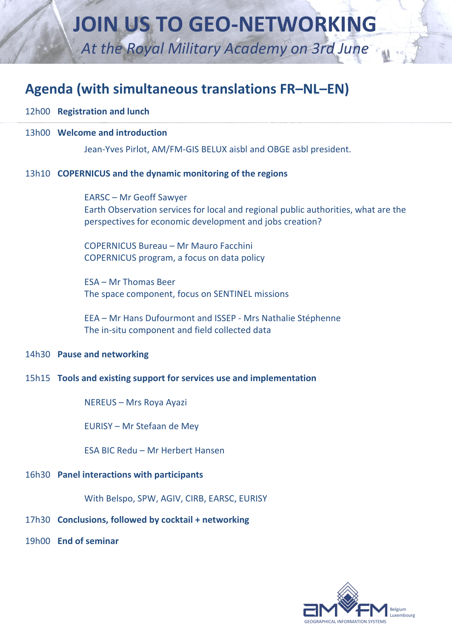# **JOIN US TO GEO-NETWORKING**

*At the Royal Military Academy on 3rd June*

# **Agenda (with simultaneous translations FR–NL–EN)**

- 12h00 **Registration and lunch**
- 13h00 **Welcome and introduction**

Jean-Yves Pirlot, AM/FM-GIS BELUX aisbl and OBGE asbl president.

### 13h10 **COPERNICUS and the dynamic monitoring of the regions**

EARSC – Mr Geoff Sawyer Earth Observation services for local and regional public authorities, what are the perspectives for economic development and jobs creation?

COPERNICUS Bureau – Mr Mauro Facchini COPERNICUS program, a focus on data policy

ESA – Mr Thomas Beer The space component, focus on SENTINEL missions

EEA – Mr Hans Dufourmont and ISSEP - Mrs Nathalie Stéphenne The in-situ component and field collected data

### 14h30 **Pause and networking**

### 15h15 **Tools and existing support for services use and implementation**

NEREUS – Mrs Roya Ayazi

EURISY – Mr Stefaan de Mey

ESA BIC Redu – Mr Herbert Hansen

### 16h30 **Panel interactions with participants**

With Belspo, SPW, AGIV, CIRB, EARSC, EURISY

### 17h30 **Conclusions, followed by cocktail + networking**

19h00 **End of seminar** 

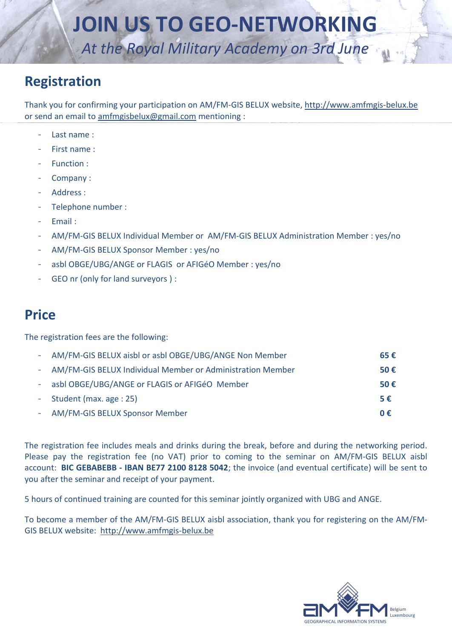# **JOIN US TO GEO-NETWORKING**

*At the Royal Military Academy on 3rd June*

# **Registration**

Thank you for confirming your participation on AM/FM-GIS BELUX website, [http://www.amfmgis-belux.be](http://www.amfmgis-belux.be/) or send an email to [amfmgisbelux@gmail.com](mailto:amfmgisbelux@gmail.com) mentioning :

- Last name :
- First name :
- Function :
- Company:
- Address :
- Telephone number :
- Email :
- AM/FM-GIS BELUX Individual Member or AM/FM-GIS BELUX Administration Member : yes/no
- AM/FM-GIS BELUX Sponsor Member : yes/no
- asbl OBGE/UBG/ANGE or FLAGIS or AFIGéO Member : yes/no
- GEO nr (only for land surveyors ) :

## **Price**

The registration fees are the following:

| - AM/FM-GIS BELUX aisbl or asbl OBGE/UBG/ANGE Non Member     | 65€ |
|--------------------------------------------------------------|-----|
| - AM/FM-GIS BELUX Individual Member or Administration Member | 50€ |
| - asbl OBGE/UBG/ANGE or FLAGIS or AFIGéO Member              | 50€ |
| - Student (max. age : 25)                                    | 5€  |
| - AM/FM-GIS BELUX Sponsor Member                             | 0€  |

The registration fee includes meals and drinks during the break, before and during the networking period. Please pay the registration fee (no VAT) prior to coming to the seminar on AM/FM-GIS BELUX aisbl account: **BIC GEBABEBB - IBAN BE77 2100 8128 5042**; the invoice (and eventual certificate) will be sent to you after the seminar and receipt of your payment.

5 hours of continued training are counted for this seminar jointly organized with UBG and ANGE.

To become a member of the AM/FM-GIS BELUX aisbl association, thank you for registering on the AM/FM-GIS BELUX website: [http://www.amfmgis-belux.be](http://www.amfmgis-belux.be/)